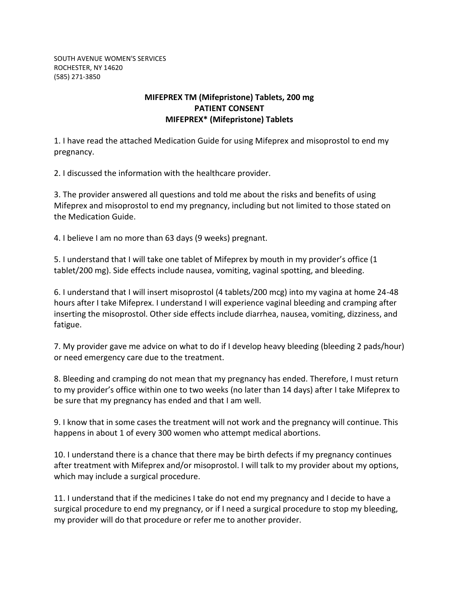SOUTH AVENUE WOMEN'S SERVICES ROCHESTER, NY 14620 (585) 271-3850

## **MIFEPREX TM (Mifepristone) Tablets, 200 mg PATIENT CONSENT MIFEPREX\* (Mifepristone) Tablets**

1. I have read the attached Medication Guide for using Mifeprex and misoprostol to end my pregnancy.

2. I discussed the information with the healthcare provider.

3. The provider answered all questions and told me about the risks and benefits of using Mifeprex and misoprostol to end my pregnancy, including but not limited to those stated on the Medication Guide.

4. I believe I am no more than 63 days (9 weeks) pregnant.

5. I understand that I will take one tablet of Mifeprex by mouth in my provider's office (1 tablet/200 mg). Side effects include nausea, vomiting, vaginal spotting, and bleeding.

6. I understand that I will insert misoprostol (4 tablets/200 mcg) into my vagina at home 24-48 hours after I take Mifeprex. I understand I will experience vaginal bleeding and cramping after inserting the misoprostol. Other side effects include diarrhea, nausea, vomiting, dizziness, and fatigue.

7. My provider gave me advice on what to do if I develop heavy bleeding (bleeding 2 pads/hour) or need emergency care due to the treatment.

8. Bleeding and cramping do not mean that my pregnancy has ended. Therefore, I must return to my provider's office within one to two weeks (no later than 14 days) after I take Mifeprex to be sure that my pregnancy has ended and that I am well.

9. I know that in some cases the treatment will not work and the pregnancy will continue. This happens in about 1 of every 300 women who attempt medical abortions.

10. I understand there is a chance that there may be birth defects if my pregnancy continues after treatment with Mifeprex and/or misoprostol. I will talk to my provider about my options, which may include a surgical procedure.

11. I understand that if the medicines I take do not end my pregnancy and I decide to have a surgical procedure to end my pregnancy, or if I need a surgical procedure to stop my bleeding, my provider will do that procedure or refer me to another provider.